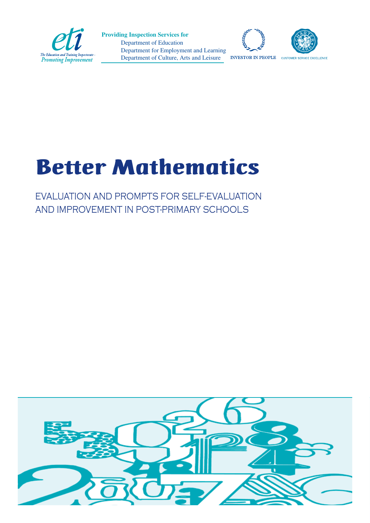

 Department of Education Department for Employment and Learning Department of Culture, Arts and Leisure **Providing Inspection Services for**





**INVESTOR IN PEOPLE** CUSTOMER SERVICE EXCELLENCE

# Better Mathematics

EVALUATION AND PROMPTS FOR SELF-EVALUATION AND IMPROVEMENT IN POST-PRIMARY SCHOOLS

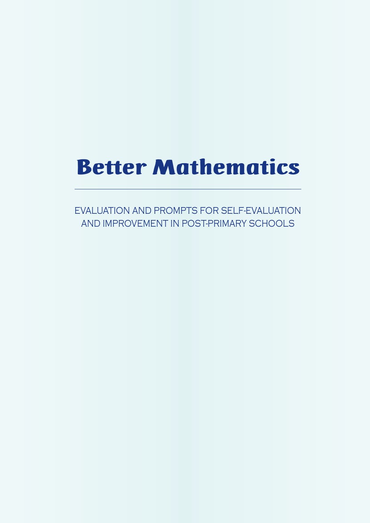# Better Mathematics

EVALUATION AND PROMPTS FOR SELF-EVALUATION AND IMPROVEMENT IN POST-PRIMARY SCHOOLS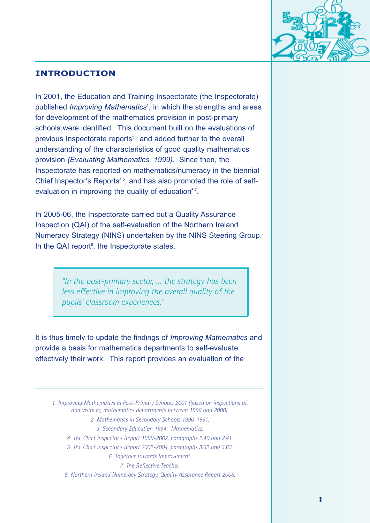

## **INTRODUCTION**

In 2001, the Education and Training Inspectorate (the Inspectorate) published *Improving Mathematics*<sup>1</sup> , in which the strengths and areas for development of the mathematics provision in post-primary schools were identified. This document built on the evaluations of previous Inspectorate reports $23$  and added further to the overall understanding of the characteristics of good quality mathematics provision *(Evaluating Mathematics, 1999)*. Since then, the Inspectorate has reported on mathematics/numeracy in the biennial Chief Inspector's Reports<sup>45</sup>, and has also promoted the role of selfevaluation in improving the quality of education  $67$ .

In 2005-06, the Inspectorate carried out a Quality Assurance Inspection (QAI) of the self-evaluation of the Northern Ireland Numeracy Strategy (NINS) undertaken by the NINS Steering Group. In the QAI report<sup>8</sup>, the Inspectorate states,

> *"In the post-primary sector, … the strategy has been less effective in improving the overall quality of the pupils' classroom experiences."*

It is thus timely to update the findings of *Improving Mathematics* and provide a basis for mathematics departments to self-evaluate effectively their work. This report provides an evaluation of the

*1 Improving Mathematics in Post-Primary Schools 2001 (based on inspections of, and visits to, mathematics departments between 1996 and 2000). 2 Mathematics in Secondary Schools 1990-1991. 3 Secondary Education 1994: Mathematics. 4 The Chief Inspector's Report 1999-2002, paragraphs 2.40 and 2.41. 5 The Chief Inspector's Report 2002-2004, paragraphs 3.62 and 3.63.*

*6 Together Towards Improvement.*

*7 The Reflective Teacher.*

*8 Northern Ireland Numeracy Strategy, Quality Assurance Report 2006.*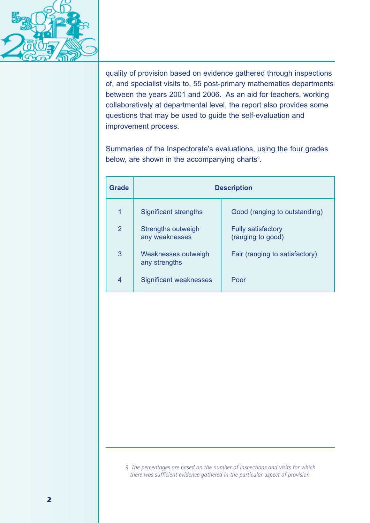

quality of provision based on evidence gathered through inspections of, and specialist visits to, 55 post-primary mathematics departments between the years 2001 and 2006. As an aid for teachers, working collaboratively at departmental level, the report also provides some questions that may be used to guide the self-evaluation and improvement process.

Summaries of the Inspectorate's evaluations, using the four grades below, are shown in the accompanying charts<sup>9</sup>.

| Grade | <b>Description</b>                   |                                                |
|-------|--------------------------------------|------------------------------------------------|
| 1     | Significant strengths                | Good (ranging to outstanding)                  |
| 2     | Strengths outweigh<br>any weaknesses | <b>Fully satisfactory</b><br>(ranging to good) |
| 3     | Weaknesses outweigh<br>any strengths | Fair (ranging to satisfactory)                 |
| 4     | Significant weaknesses               | Poor                                           |

*9 The percentages are based on the number of inspections and visits for which there was sufficient evidence gathered in the particular aspect of provision.*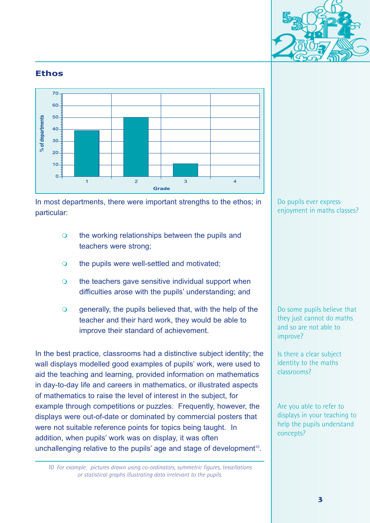

#### **Ethos**



In most departments, there were important strengths to the ethos; in particular:

- $\Omega$  the working relationships between the pupils and teachers were strong;
- $\overline{O}$ the pupils were well-settled and motivated;
- $\Omega$  the teachers gave sensitive individual support when difficulties arose with the pupils' understanding; and
- $\overline{Q}$  generally, the pupils believed that, with the help of the teacher and their hard work, they would be able to improve their standard of achievement.

In the best practice, classrooms had a distinctive subject identity; the wall displays modelled good examples of pupils' work, were used to aid the teaching and learning, provided information on mathematics in day-to-day life and careers in mathematics, or illustrated aspects of mathematics to raise the level of interest in the subject, for example through competitions or puzzles. Frequently, however, the displays were out-of-date or dominated by commercial posters that were not suitable reference points for topics being taught. In addition, when pupils' work was on display, it was often unchallenging relative to the pupils' age and stage of development<sup>10</sup>.

*10 For example: pictures drawn using co-ordinators, symmetric figures, tessellations or statistical graphs illustrating data irrelevant to the pupils.*

#### Do pupils ever express enjoyment in maths classes?

Do some pupils believe that they just cannot do maths and so are not able to improve?

Is there a clear subject identity to the maths classrooms?

Are you able to refer to displays in your teaching to help the pupils understand concepts?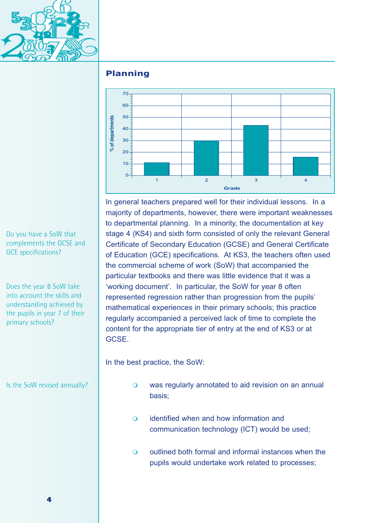

## **Planning**



In general teachers prepared well for their individual lessons. In a majority of departments, however, there were important weaknesses to departmental planning. In a minority, the documentation at key stage 4 (KS4) and sixth form consisted of only the relevant General Certificate of Secondary Education (GCSE) and General Certificate of Education (GCE) specifications. At KS3, the teachers often used the commercial scheme of work (SoW) that accompanied the particular textbooks and there was little evidence that it was a 'working document'. In particular, the SoW for year 8 often represented regression rather than progression from the pupils' mathematical experiences in their primary schools; this practice regularly accompanied a perceived lack of time to complete the content for the appropriate tier of entry at the end of KS3 or at GCSE.

In the best practice, the SoW:

- $\Omega$  was regularly annotated to aid revision on an annual basis;
- $\Omega$  identified when and how information and communication technology (ICT) would be used;
- $\Omega$  outlined both formal and informal instances when the pupils would undertake work related to processes;

Do you have a SoW that complements the GCSE and GCE specifications?

Does the year 8 SoW take into account the skills and understanding achieved by the pupils in year 7 of their primary schools?

Is the SoW revised annually?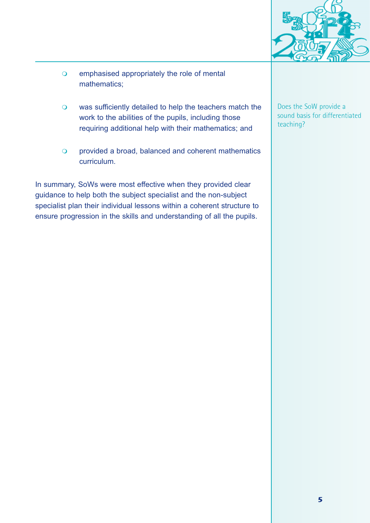

- $\overline{Q}$  emphasised appropriately the role of mental mathematics;
- $\overline{O}$  was sufficiently detailed to help the teachers match the work to the abilities of the pupils, including those requiring additional help with their mathematics; and
- $\overline{O}$  provided a broad, balanced and coherent mathematics curriculum.

In summary, SoWs were most effective when they provided clear guidance to help both the subject specialist and the non-subject specialist plan their individual lessons within a coherent structure to ensure progression in the skills and understanding of all the pupils.

Does the SoW provide a sound basis for differentiated teaching?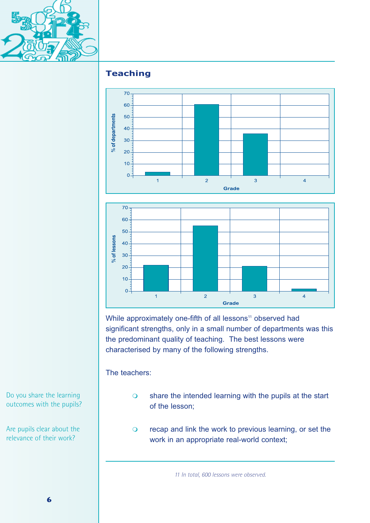

# **Teaching**



While approximately one-fifth of all lessons<sup>11</sup> observed had significant strengths, only in a small number of departments was this the predominant quality of teaching. The best lessons were characterised by many of the following strengths.

Grade

The teachers:

- $\overline{O}$  share the intended learning with the pupils at the start of the lesson;
- $\overline{O}$  recap and link the work to previous learning, or set the work in an appropriate real-world context;

*11 In total, 600 lessons were observed.*

Do you share the learning outcomes with the pupils?

Are pupils clear about the relevance of their work?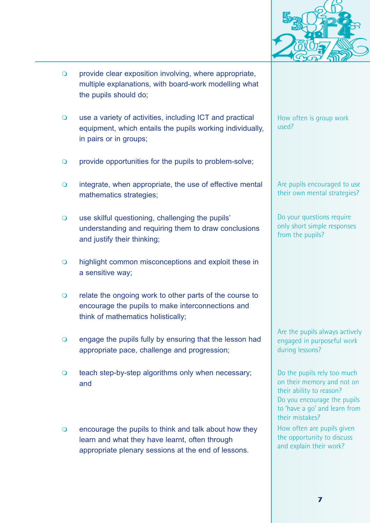

- $\overline{O}$  provide clear exposition involving, where appropriate, multiple explanations, with board-work modelling what the pupils should do;
- $\overline{O}$  use a variety of activities, including ICT and practical equipment, which entails the pupils working individually, in pairs or in groups;
- $\overline{O}$ provide opportunities for the pupils to problem-solve;
- $\overline{O}$  integrate, when appropriate, the use of effective mental mathematics strategies;
- $\Omega$  use skilful questioning, challenging the pupils' understanding and requiring them to draw conclusions and justify their thinking;
- $\overline{O}$  highlight common misconceptions and exploit these in a sensitive way;
- $\overline{O}$  relate the ongoing work to other parts of the course to encourage the pupils to make interconnections and think of mathematics holistically;
- $\overline{O}$  engage the pupils fully by ensuring that the lesson had appropriate pace, challenge and progression;
- $\overline{O}$  teach step-by-step algorithms only when necessary; and
- $\overline{O}$  encourage the pupils to think and talk about how they learn and what they have learnt, often through appropriate plenary sessions at the end of lessons.

How often is group work used?

Are pupils encouraged to use their own mental strategies?

Do your questions require only short simple responses from the pupils?

Are the pupils always actively engaged in purposeful work during lessons?

Do the pupils rely too much on their memory and not on their ability to reason? Do you encourage the pupils to 'have a go' and learn from their mistakes?

How often are pupils given the opportunity to discuss and explain their work?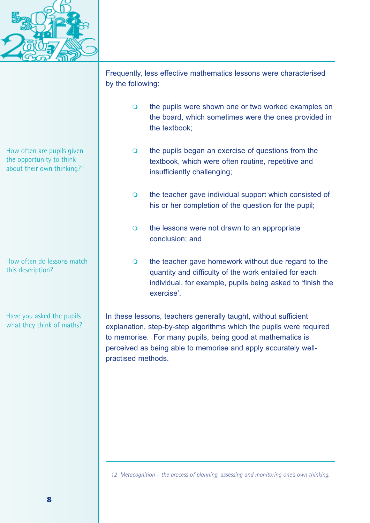

Frequently, less effective mathematics lessons were characterised by the following:  $\overline{O}$  the pupils were shown one or two worked examples on the board, which sometimes were the ones provided in the textbook;  $\overline{O}$  the pupils began an exercise of questions from the textbook, which were often routine, repetitive and insufficiently challenging;  $\overline{O}$  the teacher gave individual support which consisted of his or her completion of the question for the pupil;  $\overline{O}$  the lessons were not drawn to an appropriate conclusion; and  $\overline{O}$  the teacher gave homework without due regard to the quantity and difficulty of the work entailed for each individual, for example, pupils being asked to 'finish the exercise'. How often are pupils given the opportunity to think about their own thinking?<sup>12</sup> How often do lessons match this description?

> In these lessons, teachers generally taught, without sufficient explanation, step-by-step algorithms which the pupils were required to memorise. For many pupils, being good at mathematics is perceived as being able to memorise and apply accurately wellpractised methods.

Have you asked the pupils what they think of maths?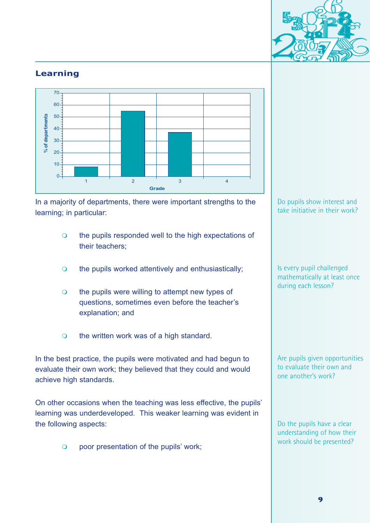

## **Learning**



In a majority of departments, there were important strengths to the learning; in particular:

- $\Omega$  the pupils responded well to the high expectations of their teachers;
- $\overline{O}$ the pupils worked attentively and enthusiastically;
- $\Omega$  the pupils were willing to attempt new types of questions, sometimes even before the teacher's explanation; and
- $\overline{Q}$ the written work was of a high standard.

In the best practice, the pupils were motivated and had begun to evaluate their own work; they believed that they could and would achieve high standards.

On other occasions when the teaching was less effective, the pupils' learning was underdeveloped. This weaker learning was evident in the following aspects:

> $\Omega$ poor presentation of the pupils' work;

#### Do pupils show interest and take initiative in their work?

Is every pupil challenged mathematically at least once during each lesson?

Are pupils given opportunities to evaluate their own and one another's work?

Do the pupils have a clear understanding of how their work should be presented?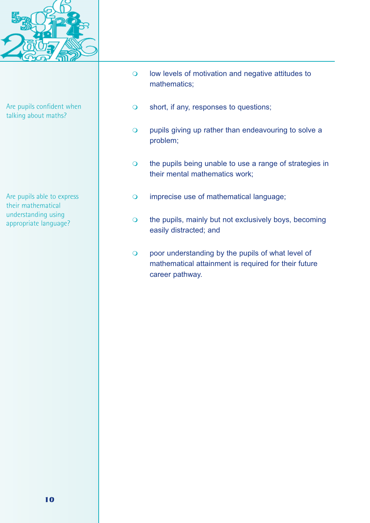

Are pupils confident when talking about maths?

Are pupils able to express their mathematical understanding using appropriate language?

- $\overline{Q}$  low levels of motivation and negative attitudes to mathematics;
- $\overline{O}$ short, if any, responses to questions;
- $\overline{O}$  pupils giving up rather than endeavouring to solve a problem;
- $\overline{O}$  the pupils being unable to use a range of strategies in their mental mathematics work;
- $\overline{O}$ imprecise use of mathematical language;
- $\overline{O}$  the pupils, mainly but not exclusively boys, becoming easily distracted; and
- $\overline{O}$  poor understanding by the pupils of what level of mathematical attainment is required for their future career pathway.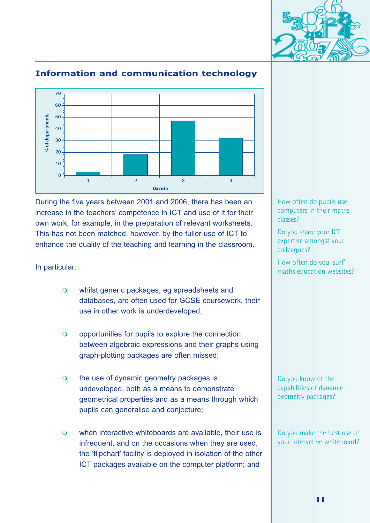



## **Information and communication technology**

During the five years between 2001 and 2006, there has been an increase in the teachers' competence in ICT and use of it for their own work, for example, in the preparation of relevant worksheets. This has not been matched, however, by the fuller use of ICT to enhance the quality of the teaching and learning in the classroom.

#### In particular:

- $\Omega$  whilst generic packages, eg spreadsheets and databases, are often used for GCSE coursework, their use in other work is underdeveloped;
- $\overline{O}$  opportunities for pupils to explore the connection between algebraic expressions and their graphs using graph-plotting packages are often missed;
- $\Omega$  the use of dynamic geometry packages is undeveloped, both as a means to demonstrate geometrical properties and as a means through which pupils can generalise and conjecture;
- $\Omega$  when interactive whiteboards are available, their use is infrequent, and on the occasions when they are used, the 'flipchart' facility is deployed in isolation of the other ICT packages available on the computer platform; and

How often do pupils use computers in their maths classes?

Do you share your ICT expertise amongst your colleagues?

How often do you 'surf' maths education websites?

Do you know of the capabilities of dynamic geometry packages?

Do you make the best use of your interactive whiteboard?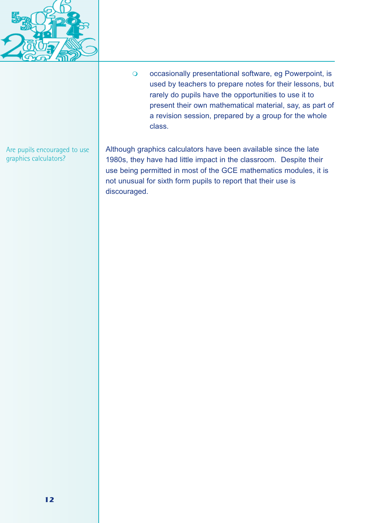

 $\overline{Q}$  occasionally presentational software, eg Powerpoint, is used by teachers to prepare notes for their lessons, but rarely do pupils have the opportunities to use it to present their own mathematical material, say, as part of a revision session, prepared by a group for the whole class.

Are pupils encouraged to use graphics calculators?

Although graphics calculators have been available since the late 1980s, they have had little impact in the classroom. Despite their use being permitted in most of the GCE mathematics modules, it is not unusual for sixth form pupils to report that their use is discouraged.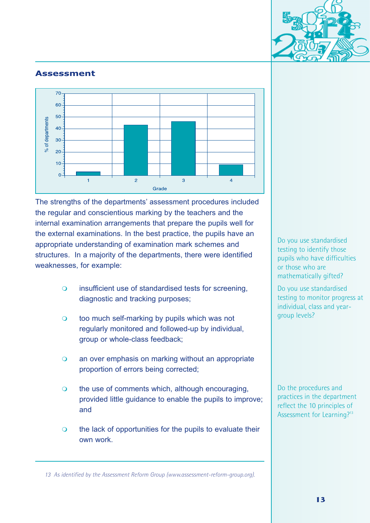

#### **Assessment**



The strengths of the departments' assessment procedures included the regular and conscientious marking by the teachers and the internal examination arrangements that prepare the pupils well for the external examinations. In the best practice, the pupils have an appropriate understanding of examination mark schemes and structures. In a majority of the departments, there were identified weaknesses, for example:

- $\overline{O}$  insufficient use of standardised tests for screening, diagnostic and tracking purposes;
- $\overline{O}$  too much self-marking by pupils which was not regularly monitored and followed-up by individual, group or whole-class feedback;
- $\Omega$  an over emphasis on marking without an appropriate proportion of errors being corrected;
- $\overline{O}$  the use of comments which, although encouraging, provided little guidance to enable the pupils to improve; and
- $\overline{O}$  the lack of opportunities for the pupils to evaluate their own work.

Do you use standardised testing to identify those pupils who have difficulties or those who are mathematically gifted?

Do you use standardised testing to monitor progress at individual, class and yeargroup levels?

Do the procedures and practices in the department reflect the 10 principles of Assessment for Learning?<sup>13</sup>

*13 As identified by the Assessment Reform Group (www.assessment-reform-group.org).*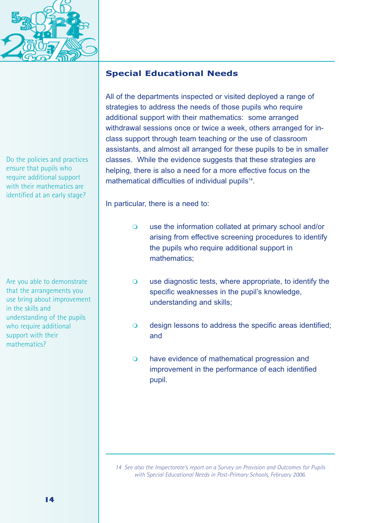

Do the policies and practices ensure that pupils who require additional support with their mathematics are identified at an early stage?

Are you able to demonstrate that the arrangements you use bring about improvement in the skills and understanding of the pupils who require additional support with their mathematics?

## **Special Educational Needs**

All of the departments inspected or visited deployed a range of strategies to address the needs of those pupils who require additional support with their mathematics: some arranged withdrawal sessions once or twice a week, others arranged for inclass support through team teaching or the use of classroom assistants, and almost all arranged for these pupils to be in smaller classes. While the evidence suggests that these strategies are helping, there is also a need for a more effective focus on the mathematical difficulties of individual pupils<sup>14</sup>.

In particular, there is a need to:

- $\overline{O}$  use the information collated at primary school and/or arising from effective screening procedures to identify the pupils who require additional support in mathematics;
- $\overline{O}$  use diagnostic tests, where appropriate, to identify the specific weaknesses in the pupil's knowledge, understanding and skills;
- $\overline{O}$  design lessons to address the specific areas identified; and
- $\Omega$  have evidence of mathematical progression and improvement in the performance of each identified pupil.

*<sup>14</sup> See also the Inspectorate's report on a Survey on Provision and Outcomes for Pupils with Special Educational Needs in Post-Primary Schools, February 2006.*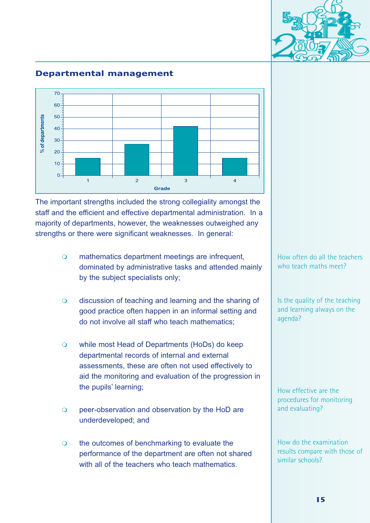#### Is the quality of the teaching and learning always on the agenda?

How effective are the procedures for monitoring and evaluating?

How do the examination results compare with those of similar schools?

15

# **Departmental management**



The important strengths included the strong collegiality amongst the staff and the efficient and effective departmental administration. In a majority of departments, however, the weaknesses outweighed any strengths or there were significant weaknesses. In general:

- $\overline{O}$  mathematics department meetings are infrequent, dominated by administrative tasks and attended mainly by the subject specialists only;
- $\overline{O}$  discussion of teaching and learning and the sharing of good practice often happen in an informal setting and do not involve all staff who teach mathematics;
- $\overline{O}$  while most Head of Departments (HoDs) do keep departmental records of internal and external assessments, these are often not used effectively to aid the monitoring and evaluation of the progression in the pupils' learning;
- $\overline{O}$  peer-observation and observation by the HoD are underdeveloped; and
- $\overline{O}$  the outcomes of benchmarking to evaluate the performance of the department are often not shared with all of the teachers who teach mathematics.

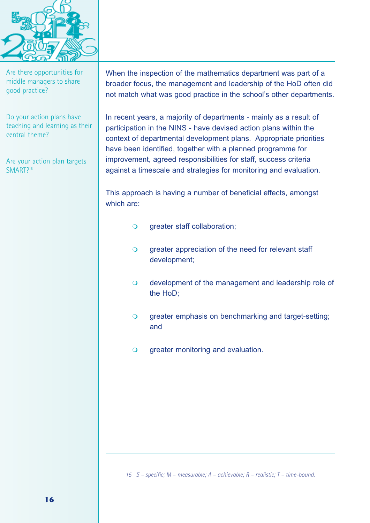

Are there opportunities for middle managers to share good practice?

Do your action plans have teaching and learning as their central theme?

Are your action plan targets SMART?<sup>15</sup>

When the inspection of the mathematics department was part of a broader focus, the management and leadership of the HoD often did not match what was good practice in the school's other departments.

In recent years, a majority of departments - mainly as a result of participation in the NINS - have devised action plans within the context of departmental development plans. Appropriate priorities have been identified, together with a planned programme for improvement, agreed responsibilities for staff, success criteria against a timescale and strategies for monitoring and evaluation.

This approach is having a number of beneficial effects, amongst which are:

- $\overline{O}$ greater staff collaboration;
- $\Omega$  greater appreciation of the need for relevant staff development;
- $\overline{O}$  development of the management and leadership role of the HoD;
- $\overline{O}$  greater emphasis on benchmarking and target-setting; and
- $\overline{O}$ greater monitoring and evaluation.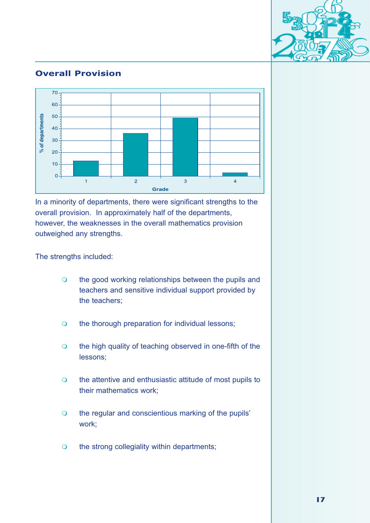

## **Overall Provision**



In a minority of departments, there were significant strengths to the overall provision. In approximately half of the departments, however, the weaknesses in the overall mathematics provision outweighed any strengths.

The strengths included:

- $\overline{O}$  the good working relationships between the pupils and teachers and sensitive individual support provided by the teachers;
- $\overline{O}$ the thorough preparation for individual lessons;
- $\overline{O}$  the high quality of teaching observed in one-fifth of the lessons;
- $\Omega$  the attentive and enthusiastic attitude of most pupils to their mathematics work;
- $\overline{O}$  the regular and conscientious marking of the pupils' work;
- $\Omega$ the strong collegiality within departments;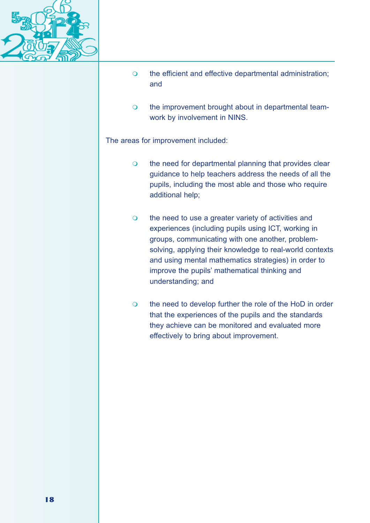

- $\overline{O}$  the efficient and effective departmental administration; and
- $\Omega$  the improvement brought about in departmental teamwork by involvement in NINS.

The areas for improvement included:

- $\overline{Q}$  the need for departmental planning that provides clear guidance to help teachers address the needs of all the pupils, including the most able and those who require additional help;
- $\overline{O}$  the need to use a greater variety of activities and experiences (including pupils using ICT, working in groups, communicating with one another, problemsolving, applying their knowledge to real-world contexts and using mental mathematics strategies) in order to improve the pupils' mathematical thinking and understanding; and
- $\overline{O}$  the need to develop further the role of the HoD in order that the experiences of the pupils and the standards they achieve can be monitored and evaluated more effectively to bring about improvement.